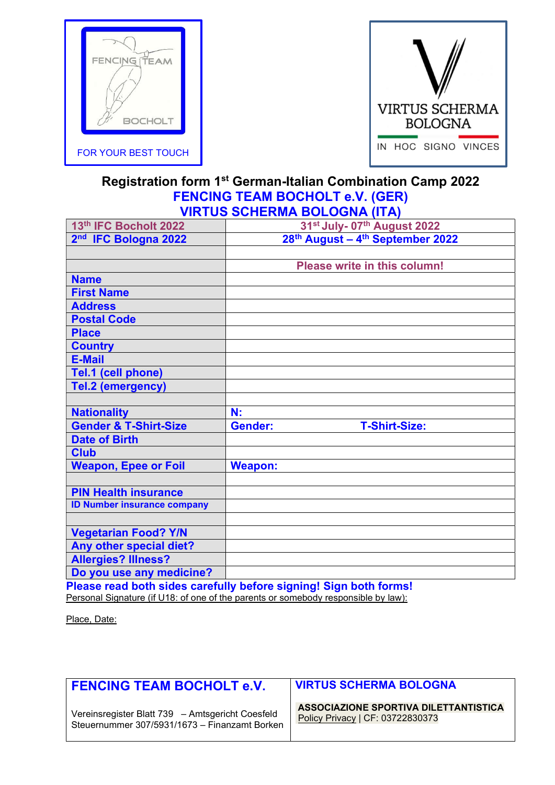



## Registration form 1st German-Italian Combination Camp 2022 FENCING TEAM BOCHOLT e.V. (GER) VIRTUS SCHERMA BOLOGNA (ITA)

| 13th IFC Bocholt 2022                                                                                                                                                                                                                                            | 31st July- 07th August 2022                                                                                               |
|------------------------------------------------------------------------------------------------------------------------------------------------------------------------------------------------------------------------------------------------------------------|---------------------------------------------------------------------------------------------------------------------------|
| 2nd IFC Bologna 2022                                                                                                                                                                                                                                             | 28th August - 4th September 2022                                                                                          |
|                                                                                                                                                                                                                                                                  |                                                                                                                           |
|                                                                                                                                                                                                                                                                  | Please write in this column!                                                                                              |
| <b>Name</b>                                                                                                                                                                                                                                                      |                                                                                                                           |
| <b>First Name</b>                                                                                                                                                                                                                                                |                                                                                                                           |
| <b>Address</b>                                                                                                                                                                                                                                                   |                                                                                                                           |
| <b>Postal Code</b>                                                                                                                                                                                                                                               |                                                                                                                           |
| <b>Place</b>                                                                                                                                                                                                                                                     |                                                                                                                           |
| <b>Country</b>                                                                                                                                                                                                                                                   |                                                                                                                           |
| <b>E-Mail</b>                                                                                                                                                                                                                                                    |                                                                                                                           |
| Tel.1 (cell phone)                                                                                                                                                                                                                                               |                                                                                                                           |
| <b>Tel.2 (emergency)</b>                                                                                                                                                                                                                                         |                                                                                                                           |
|                                                                                                                                                                                                                                                                  |                                                                                                                           |
| <b>Nationality</b>                                                                                                                                                                                                                                               | N:                                                                                                                        |
| <b>Gender &amp; T-Shirt-Size</b>                                                                                                                                                                                                                                 | <b>Gender:</b><br><b>T-Shirt-Size:</b>                                                                                    |
| <b>Date of Birth</b>                                                                                                                                                                                                                                             |                                                                                                                           |
| <b>Club</b>                                                                                                                                                                                                                                                      |                                                                                                                           |
| <b>Weapon, Epee or Foil</b>                                                                                                                                                                                                                                      | <b>Weapon:</b>                                                                                                            |
|                                                                                                                                                                                                                                                                  |                                                                                                                           |
| <b>PIN Health insurance</b>                                                                                                                                                                                                                                      |                                                                                                                           |
| <b>ID Number insurance company</b>                                                                                                                                                                                                                               |                                                                                                                           |
|                                                                                                                                                                                                                                                                  |                                                                                                                           |
| <b>Vegetarian Food? Y/N</b>                                                                                                                                                                                                                                      |                                                                                                                           |
| Any other special diet?                                                                                                                                                                                                                                          |                                                                                                                           |
| <b>Allergies? Illness?</b>                                                                                                                                                                                                                                       |                                                                                                                           |
| Do you use any medicine?<br><b>Products and the contract of the contract of the contract of the contract of the contract of the contract of the contract of the contract of the contract of the contract of the contract of the contract of the contract of </b> | $\mathbf{r}$ at $\mathbf{r}$ $\mathbf{r}$ at $\mathbf{r}$ at $\mathbf{r}$ at $\mathbf{r}$ at $\mathbf{r}$ at $\mathbf{r}$ |

Please read both sides carefully before signing! Sign both forms! Personal Signature (if U18: of one of the parents or somebody responsible by law):

Place, Date:

| FENCING TEAM BOCHOLT e.V.                        | <b>VIRTUS SCHERMA BOLOGNA</b>         |
|--------------------------------------------------|---------------------------------------|
| Vereinsregister Blatt 739 - Amtsgericht Coesfeld | ASSOCIAZIONE SPORTIVA DILETTANTISTICA |
| Steuernummer 307/5931/1673 - Finanzamt Borken    | Policy Privacy   CF: 03722830373      |